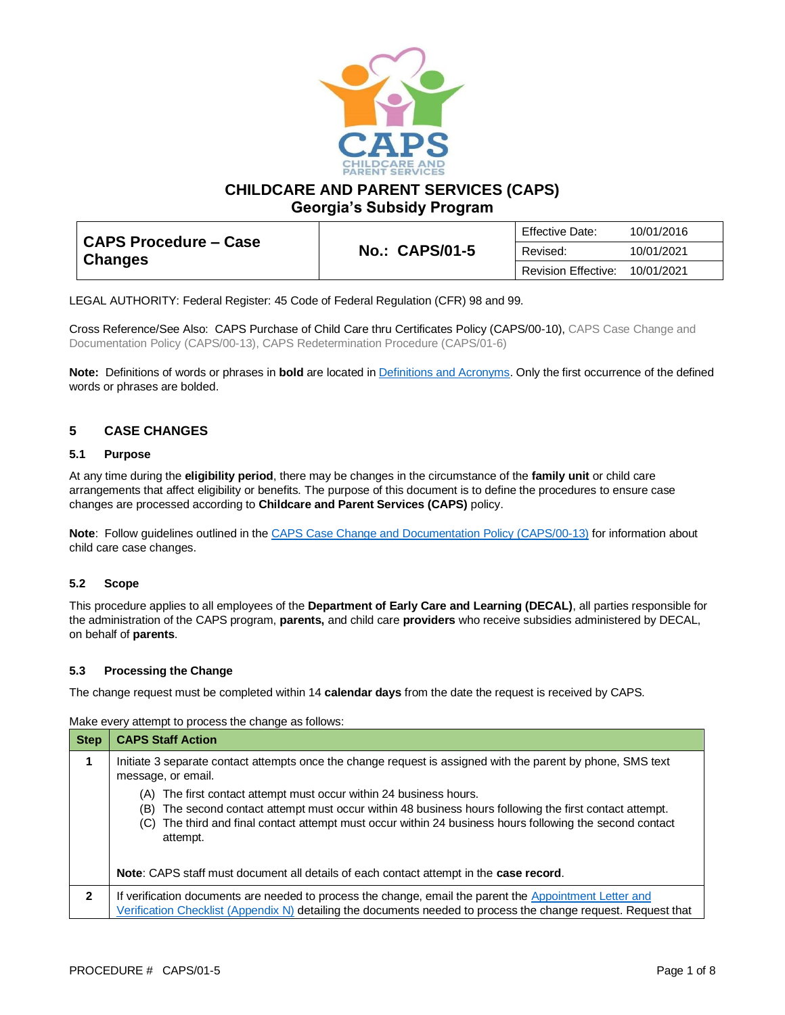

**CHILDCARE AND PARENT SERVICES (CAPS)**

**Georgia's Subsidy Program**

| CAPS Procedure - Case<br>  Changes |                       | Effective Date:            | 10/01/2016 |
|------------------------------------|-----------------------|----------------------------|------------|
|                                    | <b>No.: CAPS/01-5</b> | Revised:                   | 10/01/2021 |
|                                    |                       | <b>Revision Effective:</b> | 10/01/2021 |

LEGAL AUTHORITY: Federal Register: 45 Code of Federal Regulation (CFR) 98 and 99.

Cross Reference/See Also: CAPS Purchase of Child Care thru Certificates Policy (CAPS/00-10), CAPS Case Change and Documentation Policy (CAPS/00-13), CAPS Redetermination Procedure (CAPS/01-6)

**Note:** Definitions of words or phrases in **bold** are located i[n Definitions and Acronyms.](https://caps.decal.ga.gov/assets/downloads/CAPS/02-CAPS_Policy-Definitions%20and%20Acronyms.pdf) Only the first occurrence of the defined words or phrases are bolded.

## **5 CASE CHANGES**

## **5.1 Purpose**

At any time during the **eligibility period**, there may be changes in the circumstance of the **family unit** or child care arrangements that affect eligibility or benefits. The purpose of this document is to define the procedures to ensure case changes are processed according to **Childcare and Parent Services (CAPS)** policy.

**Note**: Follow guidelines outlined in th[e CAPS Case Change and Documentation Policy \(CAPS/00-13\)](https://caps.decal.ga.gov/assets/downloads/CAPS/13-CAPS_Policy-Case%20Changes%20and%20Documentation.pdf) for information about child care case changes.

## **5.2 Scope**

This procedure applies to all employees of the **Department of Early Care and Learning (DECAL)**, all parties responsible for the administration of the CAPS program, **parents,** and child care **providers** who receive subsidies administered by DECAL, on behalf of **parents**.

## **5.3 Processing the Change**

The change request must be completed within 14 **calendar days** from the date the request is received by CAPS.

Make every attempt to process the change as follows:

| <b>Step</b>  | <b>CAPS Staff Action</b>                                                                                                                                                                                                                                                                                                                                                                                          |
|--------------|-------------------------------------------------------------------------------------------------------------------------------------------------------------------------------------------------------------------------------------------------------------------------------------------------------------------------------------------------------------------------------------------------------------------|
|              | Initiate 3 separate contact attempts once the change request is assigned with the parent by phone, SMS text<br>message, or email.                                                                                                                                                                                                                                                                                 |
|              | (A) The first contact attempt must occur within 24 business hours.<br>The second contact attempt must occur within 48 business hours following the first contact attempt.<br>(B)<br>(C) The third and final contact attempt must occur within 24 business hours following the second contact<br>attempt.<br><b>Note:</b> CAPS staff must document all details of each contact attempt in the <b>case record</b> . |
|              |                                                                                                                                                                                                                                                                                                                                                                                                                   |
| $\mathbf{2}$ | If verification documents are needed to process the change, email the parent the Appointment Letter and<br>Verification Checklist (Appendix N) detailing the documents needed to process the change request. Request that                                                                                                                                                                                         |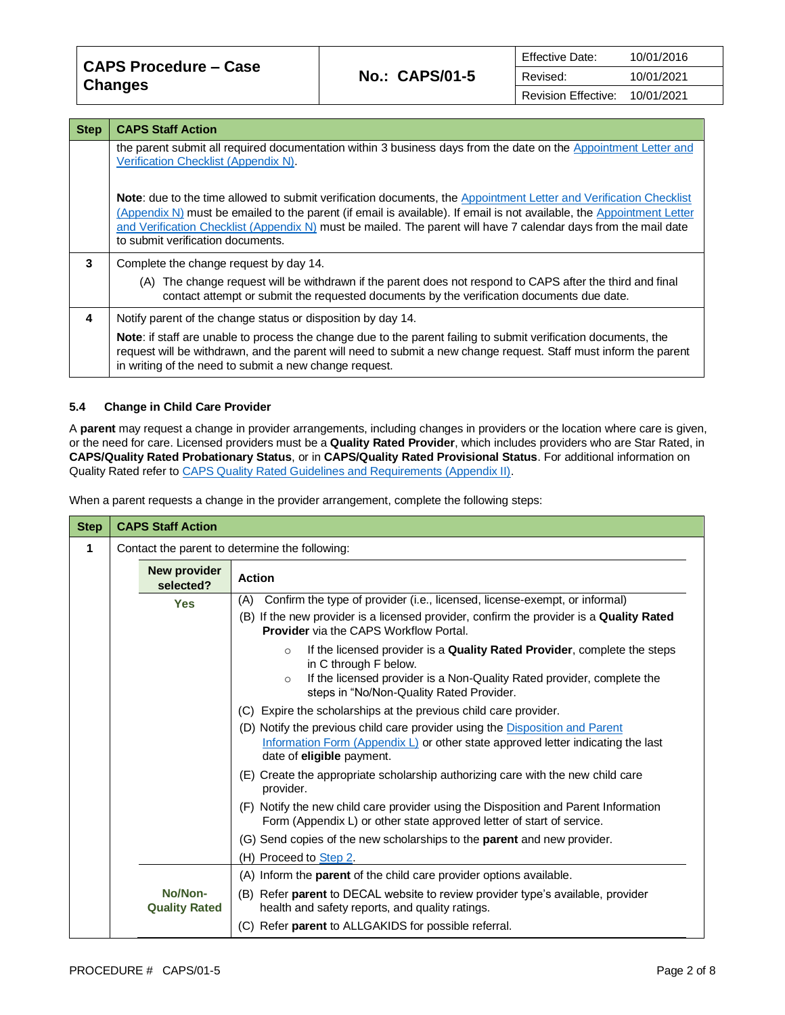| CAPS Procedure – Case<br>  Changes |                       | Effective Date:            | 10/01/2016 |
|------------------------------------|-----------------------|----------------------------|------------|
|                                    | <b>No.: CAPS/01-5</b> | Revised:                   | 10/01/2021 |
|                                    |                       | <b>Revision Effective:</b> | 10/01/2021 |

| <b>Step</b> | <b>CAPS Staff Action</b>                                                                                                                                                                                                                                                                                                                                                                           |
|-------------|----------------------------------------------------------------------------------------------------------------------------------------------------------------------------------------------------------------------------------------------------------------------------------------------------------------------------------------------------------------------------------------------------|
|             | the parent submit all required documentation within 3 business days from the date on the Appointment Letter and<br>Verification Checklist (Appendix N).                                                                                                                                                                                                                                            |
|             | Note: due to the time allowed to submit verification documents, the Appointment Letter and Verification Checklist<br>(Appendix N) must be emailed to the parent (if email is available). If email is not available, the Appointment Letter<br>and Verification Checklist (Appendix N) must be mailed. The parent will have 7 calendar days from the mail date<br>to submit verification documents. |
| 3           | Complete the change request by day 14.                                                                                                                                                                                                                                                                                                                                                             |
|             | (A) The change request will be withdrawn if the parent does not respond to CAPS after the third and final<br>contact attempt or submit the requested documents by the verification documents due date.                                                                                                                                                                                             |
| 4           | Notify parent of the change status or disposition by day 14.                                                                                                                                                                                                                                                                                                                                       |
|             | Note: if staff are unable to process the change due to the parent failing to submit verification documents, the<br>request will be withdrawn, and the parent will need to submit a new change request. Staff must inform the parent<br>in writing of the need to submit a new change request.                                                                                                      |

## **5.4 Change in Child Care Provider**

A **parent** may request a change in provider arrangements, including changes in providers or the location where care is given, or the need for care. Licensed providers must be a **Quality Rated Provider**, which includes providers who are Star Rated, in **CAPS/Quality Rated Probationary Status**, or in **CAPS/Quality Rated Provisional Status**. For additional information on Quality Rated refer to [CAPS Quality Rated Guidelines and Requirements \(Appendix II\).](https://caps.decal.ga.gov/assets/downloads/CAPS/Appendix_II-CAPS%20Quality%20Rated%20Guidelines%20and%20Requirements.pdf)

When a parent requests a change in the provider arrangement, complete the following steps:

| <b>Step</b> | <b>CAPS Staff Action</b> |                                                |                                                                                                                                                                                                                                                |  |
|-------------|--------------------------|------------------------------------------------|------------------------------------------------------------------------------------------------------------------------------------------------------------------------------------------------------------------------------------------------|--|
| 1           |                          | Contact the parent to determine the following: |                                                                                                                                                                                                                                                |  |
|             |                          | <b>New provider</b><br>selected?               | <b>Action</b>                                                                                                                                                                                                                                  |  |
|             |                          | <b>Yes</b>                                     | Confirm the type of provider (i.e., licensed, license-exempt, or informal)<br>(A)                                                                                                                                                              |  |
|             |                          |                                                | (B) If the new provider is a licensed provider, confirm the provider is a <b>Quality Rated</b><br><b>Provider</b> via the CAPS Workflow Portal.                                                                                                |  |
|             |                          |                                                | If the licensed provider is a Quality Rated Provider, complete the steps<br>$\circ$<br>in C through F below.<br>If the licensed provider is a Non-Quality Rated provider, complete the<br>$\Omega$<br>steps in "No/Non-Quality Rated Provider. |  |
|             |                          |                                                | (C) Expire the scholarships at the previous child care provider.                                                                                                                                                                               |  |
|             |                          |                                                | (D) Notify the previous child care provider using the Disposition and Parent<br>Information Form (Appendix L) or other state approved letter indicating the last<br>date of <b>eligible</b> payment.                                           |  |
|             |                          |                                                | (E) Create the appropriate scholarship authorizing care with the new child care<br>provider.                                                                                                                                                   |  |
|             |                          |                                                | (F) Notify the new child care provider using the Disposition and Parent Information<br>Form (Appendix L) or other state approved letter of start of service.                                                                                   |  |
|             |                          |                                                | (G) Send copies of the new scholarships to the parent and new provider.                                                                                                                                                                        |  |
|             |                          |                                                | (H) Proceed to Step 2.                                                                                                                                                                                                                         |  |
|             |                          |                                                | (A) Inform the <b>parent</b> of the child care provider options available.                                                                                                                                                                     |  |
|             |                          | No/Non-<br><b>Quality Rated</b>                | (B) Refer <b>parent</b> to DECAL website to review provider type's available, provider<br>health and safety reports, and quality ratings.                                                                                                      |  |
|             |                          |                                                | (C) Refer parent to ALLGAKIDS for possible referral.                                                                                                                                                                                           |  |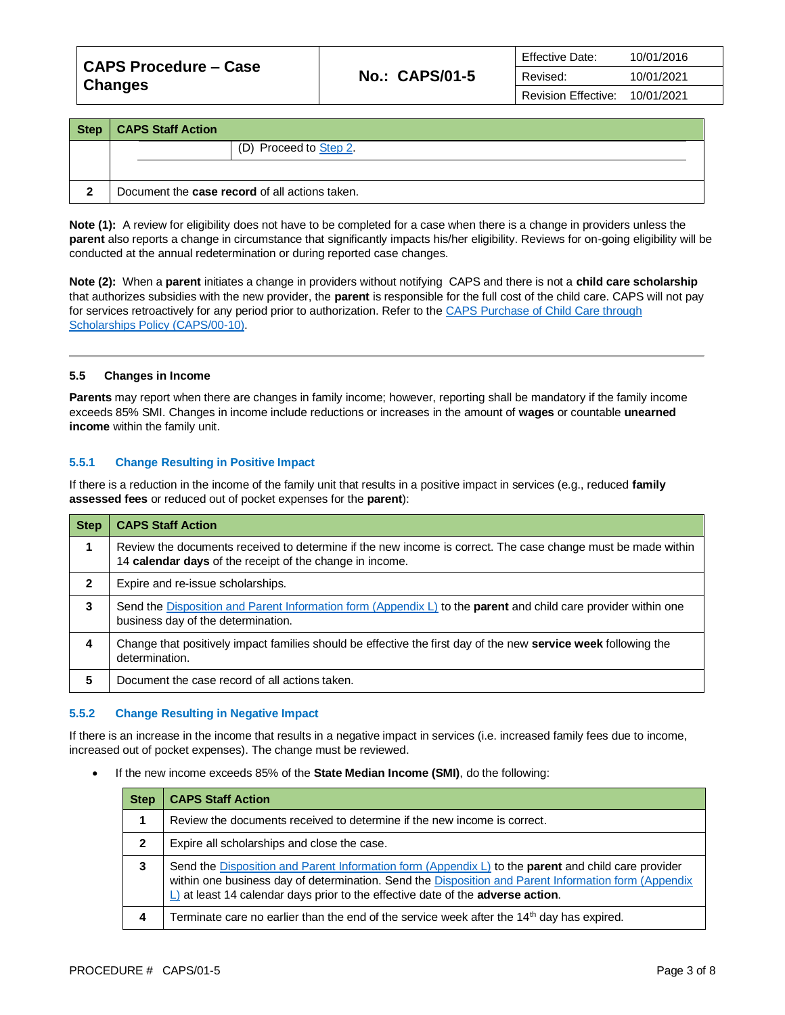| CAPS Procedure – Case<br><b>Changes</b> |                       | <b>Effective Date:</b>     | 10/01/2016 |
|-----------------------------------------|-----------------------|----------------------------|------------|
|                                         | <b>No.: CAPS/01-5</b> | Revised:                   | 10/01/2021 |
|                                         |                       | <b>Revision Effective:</b> | 10/01/2021 |

| <b>Step</b> | <b>CAPS Staff Action</b>                              |
|-------------|-------------------------------------------------------|
|             | (D) Proceed to Step 2.                                |
|             |                                                       |
| ◠           | Document the <b>case record</b> of all actions taken. |

<span id="page-2-0"></span>**Note (1):** A review for eligibility does not have to be completed for a case when there is a change in providers unless the **parent** also reports a change in circumstance that significantly impacts his/her eligibility. Reviews for on-going eligibility will be conducted at the annual redetermination or during reported case changes.

**Note (2):** When a **parent** initiates a change in providers without notifying CAPS and there is not a **child care scholarship** that authorizes subsidies with the new provider, the **parent** is responsible for the full cost of the child care. CAPS will not pay for services retroactively for any period prior to authorization. Refer to th[e CAPS Purchase of Child Care through](https://caps.decal.ga.gov/assets/downloads/CAPS/10-CAPS_Policy-Purchase%20of%20Child%20Care%20through%20Scholarships.pdf)  [Scholarships Policy \(CAPS/00-10\).](https://caps.decal.ga.gov/assets/downloads/CAPS/10-CAPS_Policy-Purchase%20of%20Child%20Care%20through%20Scholarships.pdf)

## **5.5 Changes in Income**

**Parents** may report when there are changes in family income; however, reporting shall be mandatory if the family income exceeds 85% SMI. Changes in income include reductions or increases in the amount of **wages** or countable **unearned income** within the family unit.

## **5.5.1 Change Resulting in Positive Impact**

If there is a reduction in the income of the family unit that results in a positive impact in services (e.g., reduced **family assessed fees** or reduced out of pocket expenses for the **parent**):

| <b>Step</b>  | <b>CAPS Staff Action</b>                                                                                                                                                 |
|--------------|--------------------------------------------------------------------------------------------------------------------------------------------------------------------------|
|              | Review the documents received to determine if the new income is correct. The case change must be made within<br>14 calendar days of the receipt of the change in income. |
| $\mathbf{2}$ | Expire and re-issue scholarships.                                                                                                                                        |
| 3            | Send the Disposition and Parent Information form (Appendix L) to the parent and child care provider within one<br>business day of the determination.                     |
| 4            | Change that positively impact families should be effective the first day of the new <b>service week</b> following the<br>determination.                                  |
| 5            | Document the case record of all actions taken.                                                                                                                           |

## **5.5.2 Change Resulting in Negative Impact**

If there is an increase in the income that results in a negative impact in services (i.e. increased family fees due to income, increased out of pocket expenses). The change must be reviewed.

• If the new income exceeds 85% of the **State Median Income (SMI)**, do the following:

| <b>Step</b>  | <b>CAPS Staff Action</b>                                                                                                                                                                                                                                                                                     |
|--------------|--------------------------------------------------------------------------------------------------------------------------------------------------------------------------------------------------------------------------------------------------------------------------------------------------------------|
|              | Review the documents received to determine if the new income is correct.                                                                                                                                                                                                                                     |
| $\mathbf{2}$ | Expire all scholarships and close the case.                                                                                                                                                                                                                                                                  |
| 3            | Send the Disposition and Parent Information form (Appendix L) to the parent and child care provider<br>within one business day of determination. Send the Disposition and Parent Information form (Appendix<br>$\Box$ ) at least 14 calendar days prior to the effective date of the <b>adverse action</b> . |
| 4            | Terminate care no earlier than the end of the service week after the $14th$ day has expired.                                                                                                                                                                                                                 |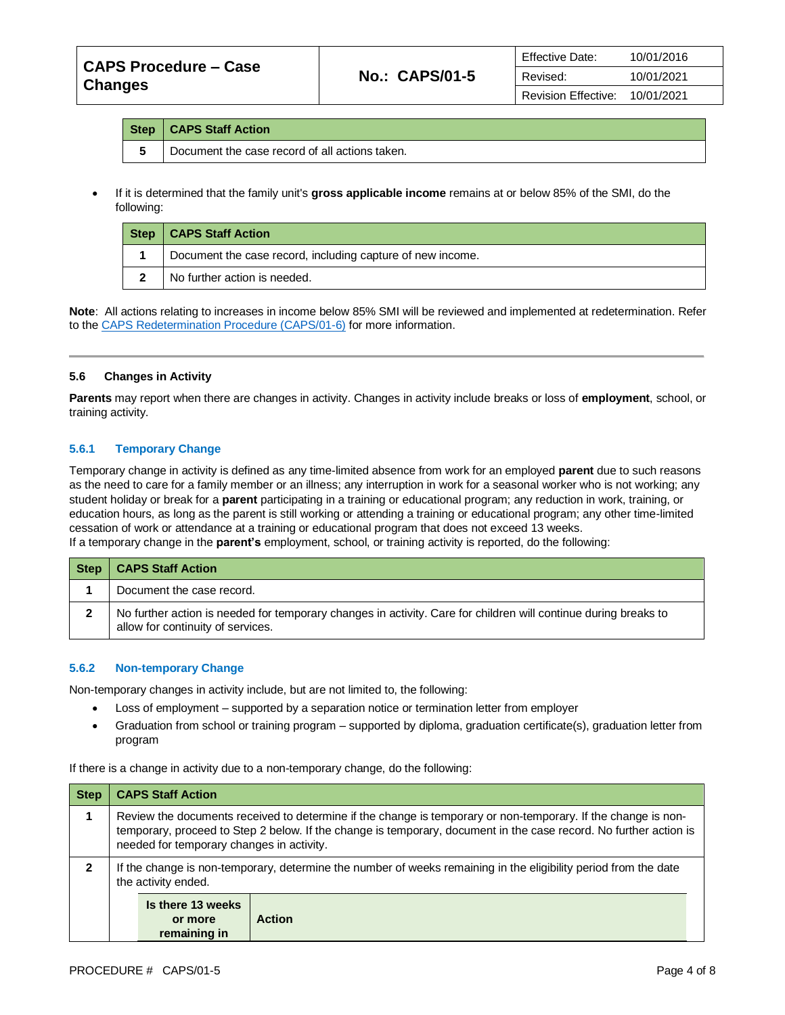| <b>CAPS Procedure - Case</b><br><b>Changes</b> |                       | <b>Effective Date:</b>     | 10/01/2016 |
|------------------------------------------------|-----------------------|----------------------------|------------|
|                                                | <b>No.: CAPS/01-5</b> | Revised:                   | 10/01/2021 |
|                                                |                       | <b>Revision Effective:</b> | 10/01/2021 |

| Step   CAPS Staff Action                       |
|------------------------------------------------|
| Document the case record of all actions taken. |

• If it is determined that the family unit's **gross applicable income** remains at or below 85% of the SMI, do the following:

| <b>Step</b> | <b>CAPS Staff Action</b>                                   |
|-------------|------------------------------------------------------------|
|             | Document the case record, including capture of new income. |
|             | No further action is needed.                               |

**Note**: All actions relating to increases in income below 85% SMI will be reviewed and implemented at redetermination. Refer to the [CAPS Redetermination Procedure \(CAPS/01-6\)](https://caps.decal.ga.gov/assets/downloads/CAPS/06-CAPS_Procedures-Redetermination.pdf) for more information.

## **5.6 Changes in Activity**

**Parents** may report when there are changes in activity. Changes in activity include breaks or loss of **employment**, school, or training activity.

## **5.6.1 Temporary Change**

Temporary change in activity is defined as any time-limited absence from work for an employed **parent** due to such reasons as the need to care for a family member or an illness; any interruption in work for a seasonal worker who is not working; any student holiday or break for a **parent** participating in a training or educational program; any reduction in work, training, or education hours, as long as the parent is still working or attending a training or educational program; any other time-limited cessation of work or attendance at a training or educational program that does not exceed 13 weeks. If a temporary change in the **parent's** employment, school, or training activity is reported, do the following:

| <b>Step</b> | <b>CAPS Staff Action</b>                                                                                                                             |
|-------------|------------------------------------------------------------------------------------------------------------------------------------------------------|
|             | Document the case record.                                                                                                                            |
|             | No further action is needed for temporary changes in activity. Care for children will continue during breaks to<br>allow for continuity of services. |

## **5.6.2 Non-temporary Change**

Non-temporary changes in activity include, but are not limited to, the following:

- Loss of employment supported by a separation notice or termination letter from employer
- Graduation from school or training program supported by diploma, graduation certificate(s), graduation letter from program

If there is a change in activity due to a non-temporary change, do the following:

| <b>Step</b> |                                                                                                                                                                                                                                                                                 | <b>CAPS Staff Action</b>                                                                                                               |               |  |
|-------------|---------------------------------------------------------------------------------------------------------------------------------------------------------------------------------------------------------------------------------------------------------------------------------|----------------------------------------------------------------------------------------------------------------------------------------|---------------|--|
|             | Review the documents received to determine if the change is temporary or non-temporary. If the change is non-<br>temporary, proceed to Step 2 below. If the change is temporary, document in the case record. No further action is<br>needed for temporary changes in activity. |                                                                                                                                        |               |  |
| 2           |                                                                                                                                                                                                                                                                                 | If the change is non-temporary, determine the number of weeks remaining in the eligibility period from the date<br>the activity ended. |               |  |
|             |                                                                                                                                                                                                                                                                                 | Is there 13 weeks<br>or more<br>remaining in                                                                                           | <b>Action</b> |  |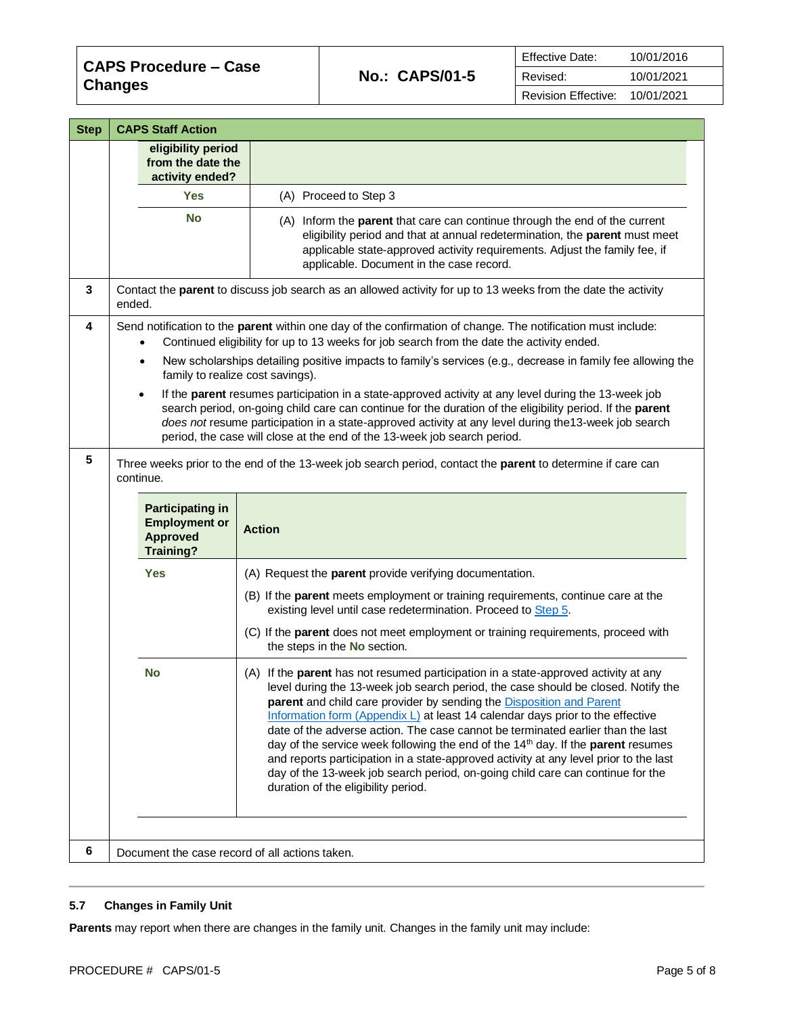| <b>Step</b> | <b>CAPS Staff Action</b>                                                        |                                                                                                                                                                                                                                                                                                                                                                                                                                                                                                                                                                                                                                                                                                                                                   |  |
|-------------|---------------------------------------------------------------------------------|---------------------------------------------------------------------------------------------------------------------------------------------------------------------------------------------------------------------------------------------------------------------------------------------------------------------------------------------------------------------------------------------------------------------------------------------------------------------------------------------------------------------------------------------------------------------------------------------------------------------------------------------------------------------------------------------------------------------------------------------------|--|
|             | eligibility period<br>from the date the<br>activity ended?                      |                                                                                                                                                                                                                                                                                                                                                                                                                                                                                                                                                                                                                                                                                                                                                   |  |
|             | <b>Yes</b>                                                                      | (A) Proceed to Step 3                                                                                                                                                                                                                                                                                                                                                                                                                                                                                                                                                                                                                                                                                                                             |  |
|             | <b>No</b>                                                                       | (A) Inform the parent that care can continue through the end of the current<br>eligibility period and that at annual redetermination, the parent must meet<br>applicable state-approved activity requirements. Adjust the family fee, if<br>applicable. Document in the case record.                                                                                                                                                                                                                                                                                                                                                                                                                                                              |  |
| 3           | ended.                                                                          | Contact the parent to discuss job search as an allowed activity for up to 13 weeks from the date the activity                                                                                                                                                                                                                                                                                                                                                                                                                                                                                                                                                                                                                                     |  |
| 4           | $\bullet$                                                                       | Send notification to the parent within one day of the confirmation of change. The notification must include:<br>Continued eligibility for up to 13 weeks for job search from the date the activity ended.                                                                                                                                                                                                                                                                                                                                                                                                                                                                                                                                         |  |
|             | $\bullet$                                                                       | New scholarships detailing positive impacts to family's services (e.g., decrease in family fee allowing the<br>family to realize cost savings).                                                                                                                                                                                                                                                                                                                                                                                                                                                                                                                                                                                                   |  |
|             | $\bullet$                                                                       | If the parent resumes participation in a state-approved activity at any level during the 13-week job<br>search period, on-going child care can continue for the duration of the eligibility period. If the parent<br>does not resume participation in a state-approved activity at any level during the 13-week job search<br>period, the case will close at the end of the 13-week job search period.                                                                                                                                                                                                                                                                                                                                            |  |
| 5           | continue.                                                                       | Three weeks prior to the end of the 13-week job search period, contact the parent to determine if care can                                                                                                                                                                                                                                                                                                                                                                                                                                                                                                                                                                                                                                        |  |
|             | <b>Participating in</b><br><b>Employment or</b><br><b>Approved</b><br>Training? | <b>Action</b>                                                                                                                                                                                                                                                                                                                                                                                                                                                                                                                                                                                                                                                                                                                                     |  |
|             | <b>Yes</b>                                                                      | (A) Request the parent provide verifying documentation.                                                                                                                                                                                                                                                                                                                                                                                                                                                                                                                                                                                                                                                                                           |  |
|             |                                                                                 | (B) If the parent meets employment or training requirements, continue care at the<br>existing level until case redetermination. Proceed to Step 5.                                                                                                                                                                                                                                                                                                                                                                                                                                                                                                                                                                                                |  |
|             |                                                                                 | (C) If the parent does not meet employment or training requirements, proceed with<br>the steps in the No section.                                                                                                                                                                                                                                                                                                                                                                                                                                                                                                                                                                                                                                 |  |
|             | <b>No</b>                                                                       | (A) If the parent has not resumed participation in a state-approved activity at any<br>level during the 13-week job search period, the case should be closed. Notify the<br>parent and child care provider by sending the <b>Disposition and Parent</b><br>Information form (Appendix $L$ ) at least 14 calendar days prior to the effective<br>date of the adverse action. The case cannot be terminated earlier than the last<br>day of the service week following the end of the 14 <sup>th</sup> day. If the parent resumes<br>and reports participation in a state-approved activity at any level prior to the last<br>day of the 13-week job search period, on-going child care can continue for the<br>duration of the eligibility period. |  |
| 6           |                                                                                 | Document the case record of all actions taken.                                                                                                                                                                                                                                                                                                                                                                                                                                                                                                                                                                                                                                                                                                    |  |

## <span id="page-4-0"></span>**5.7 Changes in Family Unit**

**Parents** may report when there are changes in the family unit. Changes in the family unit may include: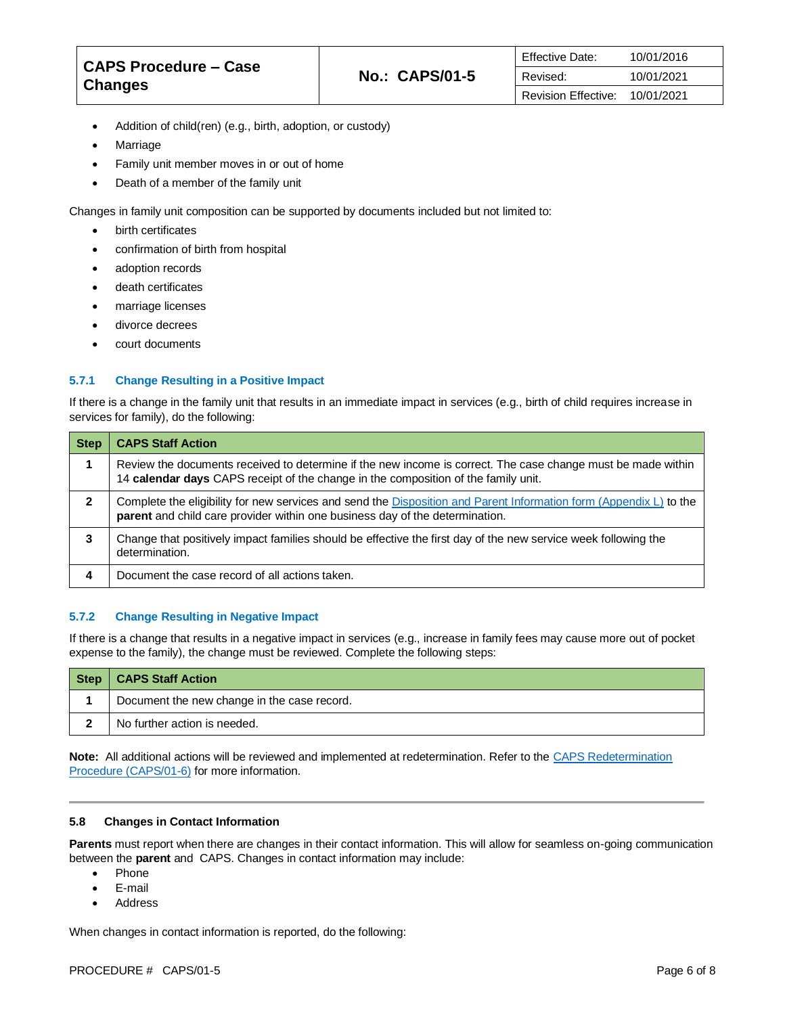| <b>CAPS Procedure – Case</b> |                       | <b>Effective Date:</b>     | 10/01/2016 |
|------------------------------|-----------------------|----------------------------|------------|
| <b>Changes</b>               | <b>No.: CAPS/01-5</b> | Revised:                   | 10/01/2021 |
|                              |                       | <b>Revision Effective:</b> | 10/01/2021 |

- Addition of child(ren) (e.g., birth, adoption, or custody)
- **Marriage**
- Family unit member moves in or out of home
- Death of a member of the family unit

Changes in family unit composition can be supported by documents included but not limited to:

- birth certificates
- confirmation of birth from hospital
- adoption records
- death certificates
- marriage licenses
- divorce decrees
- court documents

## **5.7.1 Change Resulting in a Positive Impact**

If there is a change in the family unit that results in an immediate impact in services (e.g., birth of child requires increase in services for family), do the following:

| <b>Step</b>  | <b>CAPS Staff Action</b>                                                                                                                                                                           |
|--------------|----------------------------------------------------------------------------------------------------------------------------------------------------------------------------------------------------|
| 1            | Review the documents received to determine if the new income is correct. The case change must be made within<br>14 calendar days CAPS receipt of the change in the composition of the family unit. |
| $\mathbf{2}$ | Complete the eligibility for new services and send the Disposition and Parent Information form (Appendix L) to the<br>parent and child care provider within one business day of the determination. |
| 3            | Change that positively impact families should be effective the first day of the new service week following the<br>determination.                                                                   |
| 4            | Document the case record of all actions taken.                                                                                                                                                     |

## **5.7.2 Change Resulting in Negative Impact**

If there is a change that results in a negative impact in services (e.g., increase in family fees may cause more out of pocket expense to the family), the change must be reviewed. Complete the following steps:

| Step | <b>CAPS Staff Action</b>                    |
|------|---------------------------------------------|
|      | Document the new change in the case record. |
|      | No further action is needed.                |

**Note:** All additional actions will be reviewed and implemented at redetermination. Refer to the [CAPS Redetermination](https://caps.decal.ga.gov/assets/downloads/CAPS/06-CAPS_Procedures-Redetermination.pdf)  [Procedure \(CAPS/01-6\)](https://caps.decal.ga.gov/assets/downloads/CAPS/06-CAPS_Procedures-Redetermination.pdf) for more information.

## **5.8 Changes in Contact Information**

**Parents** must report when there are changes in their contact information. This will allow for seamless on-going communication between the **parent** and CAPS. Changes in contact information may include:

- Phone
- E-mail
- **Address**

When changes in contact information is reported, do the following: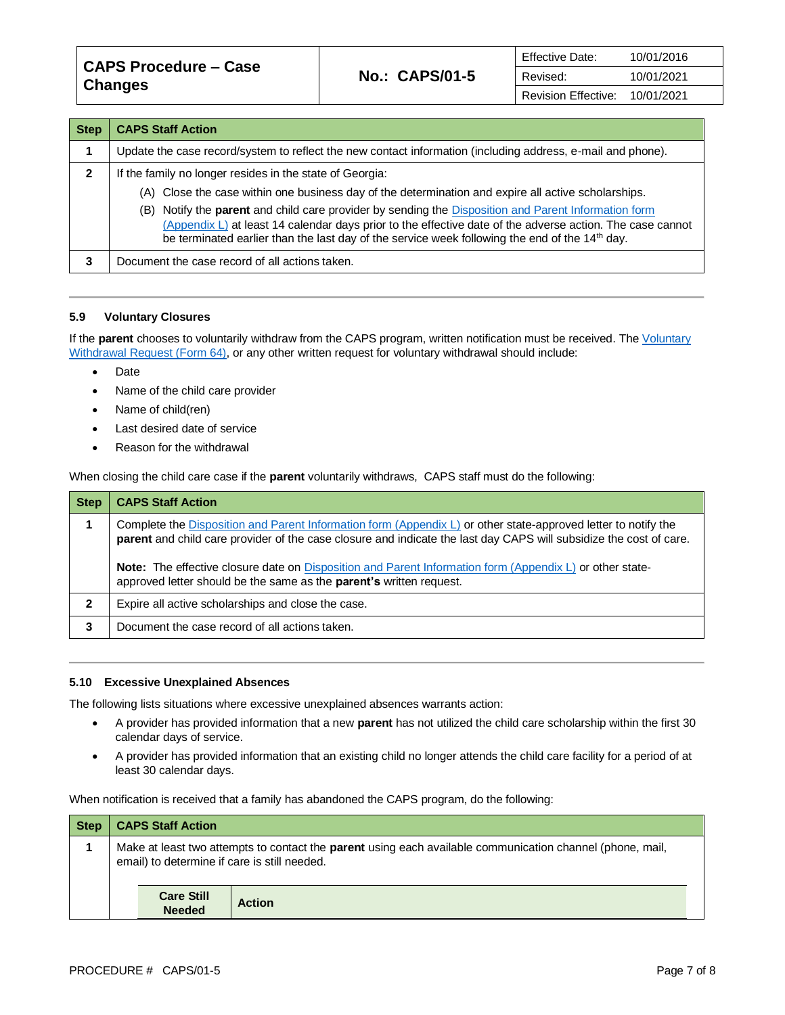| CAPS Procedure – Case | <b>No.: CAPS/01-5</b> | Effective Date:            | 10/01/2016 |
|-----------------------|-----------------------|----------------------------|------------|
| Changes               |                       | Revised:                   | 10/01/2021 |
|                       |                       | <b>Revision Effective:</b> | 10/01/2021 |

| <b>Step</b>  | <b>CAPS Staff Action</b>                                                                                                                                                                                                                                                                                                                                                                                                                                                                           |  |
|--------------|----------------------------------------------------------------------------------------------------------------------------------------------------------------------------------------------------------------------------------------------------------------------------------------------------------------------------------------------------------------------------------------------------------------------------------------------------------------------------------------------------|--|
|              | Update the case record/system to reflect the new contact information (including address, e-mail and phone).                                                                                                                                                                                                                                                                                                                                                                                        |  |
| $\mathbf{2}$ | If the family no longer resides in the state of Georgia:<br>(A) Close the case within one business day of the determination and expire all active scholarships.<br>(B) Notify the parent and child care provider by sending the Disposition and Parent Information form<br>(Appendix L) at least 14 calendar days prior to the effective date of the adverse action. The case cannot<br>be terminated earlier than the last day of the service week following the end of the 14 <sup>th</sup> day. |  |
| 3            | Document the case record of all actions taken.                                                                                                                                                                                                                                                                                                                                                                                                                                                     |  |

#### **5.9 Voluntary Closures**

If the **parent** chooses to voluntarily withdraw from the CAPS program, written notification must be received. The *Voluntary* [Withdrawal Request \(Form 64\),](https://caps.decal.ga.gov/assets/downloads/CAPS/AppendixM-Form%2064%20Voluntary%20Withdrawal.pdf) or any other written request for voluntary withdrawal should include:

- Date
- Name of the child care provider
- Name of child(ren)
- Last desired date of service
- Reason for the withdrawal

When closing the child care case if the **parent** voluntarily withdraws, CAPS staff must do the following:

| <b>Step</b> | <b>CAPS Staff Action</b>                                                                                                                                                                                                                                                                                                                                                                                                       |
|-------------|--------------------------------------------------------------------------------------------------------------------------------------------------------------------------------------------------------------------------------------------------------------------------------------------------------------------------------------------------------------------------------------------------------------------------------|
|             | Complete the Disposition and Parent Information form (Appendix L) or other state-approved letter to notify the<br>parent and child care provider of the case closure and indicate the last day CAPS will subsidize the cost of care.<br>Note: The effective closure date on Disposition and Parent Information form (Appendix L) or other state-<br>approved letter should be the same as the <b>parent's</b> written request. |
| 2           | Expire all active scholarships and close the case.                                                                                                                                                                                                                                                                                                                                                                             |
| 3           | Document the case record of all actions taken.                                                                                                                                                                                                                                                                                                                                                                                 |

## **5.10 Excessive Unexplained Absences**

The following lists situations where excessive unexplained absences warrants action:

- A provider has provided information that a new **parent** has not utilized the child care scholarship within the first 30 calendar days of service.
- A provider has provided information that an existing child no longer attends the child care facility for a period of at least 30 calendar days.

When notification is received that a family has abandoned the CAPS program, do the following:

| <b>Step</b> |                                                                                                                                                           | <b>CAPS Staff Action</b>           |               |
|-------------|-----------------------------------------------------------------------------------------------------------------------------------------------------------|------------------------------------|---------------|
|             | Make at least two attempts to contact the parent using each available communication channel (phone, mail,<br>email) to determine if care is still needed. |                                    |               |
|             |                                                                                                                                                           | <b>Care Still</b><br><b>Needed</b> | <b>Action</b> |